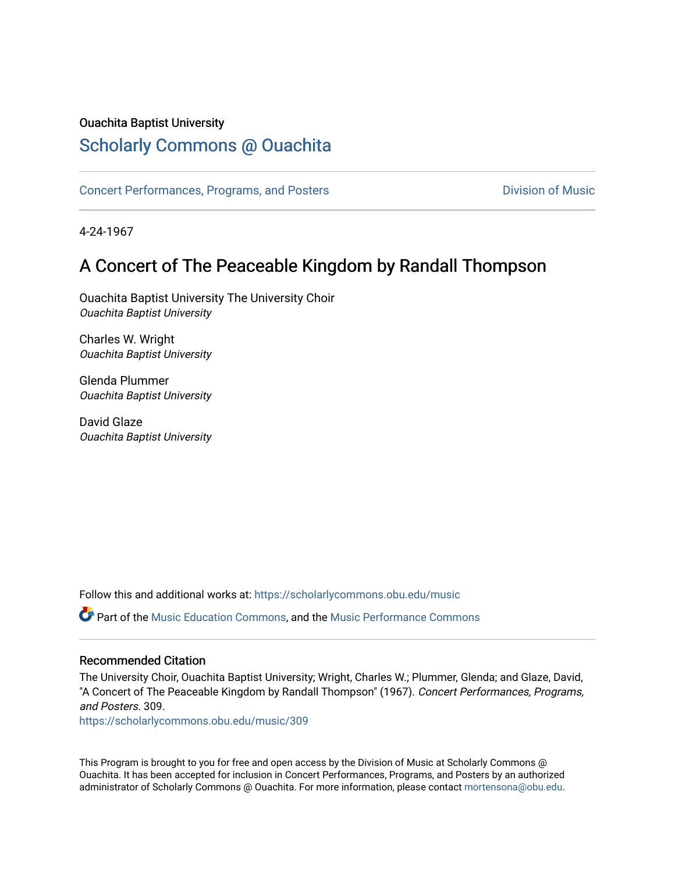## Ouachita Baptist University

# [Scholarly Commons @ Ouachita](https://scholarlycommons.obu.edu/)

[Concert Performances, Programs, and Posters](https://scholarlycommons.obu.edu/music) **Division of Music** Division of Music

4-24-1967

## A Concert of The Peaceable Kingdom by Randall Thompson

Ouachita Baptist University The University Choir Ouachita Baptist University

Charles W. Wright Ouachita Baptist University

Glenda Plummer Ouachita Baptist University

David Glaze Ouachita Baptist University

Follow this and additional works at: [https://scholarlycommons.obu.edu/music](https://scholarlycommons.obu.edu/music?utm_source=scholarlycommons.obu.edu%2Fmusic%2F309&utm_medium=PDF&utm_campaign=PDFCoverPages) 

Part of the [Music Education Commons,](http://network.bepress.com/hgg/discipline/1246?utm_source=scholarlycommons.obu.edu%2Fmusic%2F309&utm_medium=PDF&utm_campaign=PDFCoverPages) and the [Music Performance Commons](http://network.bepress.com/hgg/discipline/1128?utm_source=scholarlycommons.obu.edu%2Fmusic%2F309&utm_medium=PDF&utm_campaign=PDFCoverPages) 

## Recommended Citation

The University Choir, Ouachita Baptist University; Wright, Charles W.; Plummer, Glenda; and Glaze, David, "A Concert of The Peaceable Kingdom by Randall Thompson" (1967). Concert Performances, Programs, and Posters. 309.

[https://scholarlycommons.obu.edu/music/309](https://scholarlycommons.obu.edu/music/309?utm_source=scholarlycommons.obu.edu%2Fmusic%2F309&utm_medium=PDF&utm_campaign=PDFCoverPages) 

This Program is brought to you for free and open access by the Division of Music at Scholarly Commons @ Ouachita. It has been accepted for inclusion in Concert Performances, Programs, and Posters by an authorized administrator of Scholarly Commons @ Ouachita. For more information, please contact [mortensona@obu.edu](mailto:mortensona@obu.edu).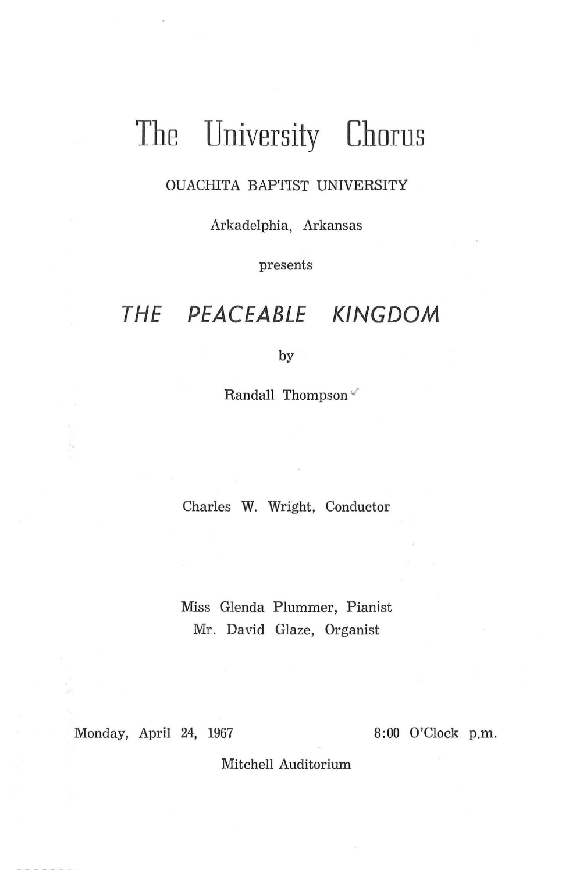# **The University Chorus**

### OUACHITA BAPTIST UNIVERSITY

Arkadelphia, Arkansas

presents

# **THE PEACEABLE KINGDOM**

by

Randall Thompson<sup> $\checkmark$ </sup>

Charles W. Wright, Conductor

Miss Glenda Plummer, Pianist Mr. David Glaze, Organist

Monday, April 24, 1967 8:00 O'Clock p.m.

Mitchell Auditorium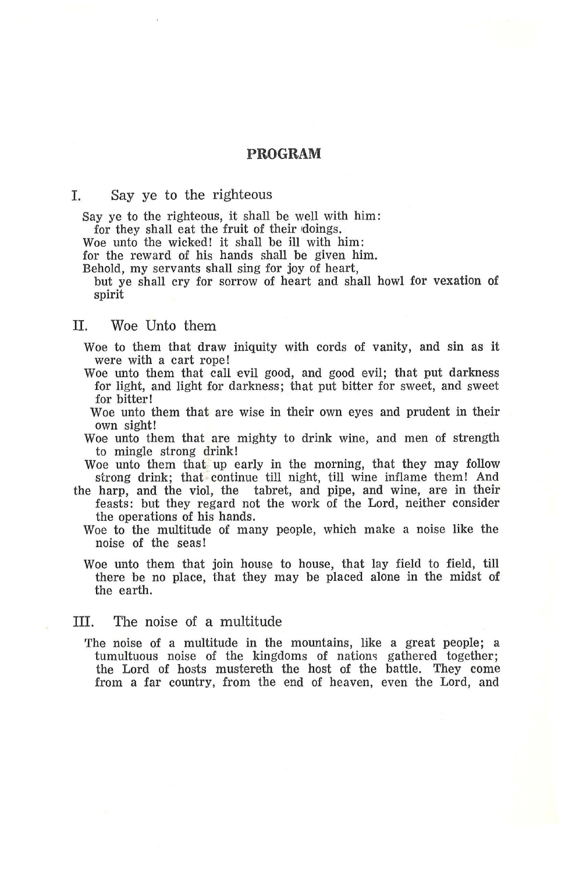#### **PROGRAM**

#### I. Say ye to the righteous

Say ye to the righteous, it shall be well with him:<br>for they shall eat the fruit of their doings.

Woe unto the wicked! it shall be ill with him:

for the reward of his hands shall be given him.

Behold, my servants shall sing for joy of heart,

but ye shall cry for sorrow of heart and shall howl for vexation of spirit

#### II. Woe Unto them

Woe to them that draw iniquity with cords of vanity, and sin as it were with a cart rope!

- Woe unto them that call evil good, and good evil; that put darkness for light, and light for darkness; that put bitter for sweet, and sweet for bitter!
- Woe unto them that are wise in their own eyes and prudent in their own sight!
- Woe unto them that are mighty to drink wine, and men of strength to mingle strong drink!

Woe unto them that up early in the morning, that they may follow strong drink; that continue till night, till wine inflame them! And

- the harp, and the viol, the tabret, and pipe, and wine, are in their feasts: but they regard not the work of the Lord, neither consider the operations of his hands.
	- Woe to the multitude of many people, which make a noise like the noise of the seas!
	- Woe unto them that join house to house, that lay field to field, till there be no place, that they may be placed alone in the midst of the earth.

#### III. The noise of a multitude

The noise of a multitude in the mountains, like a great people; a tumultuous noise of the kingdoms of nations gathered together; the Lord of hosts mustereth the host of the battle. They come from a far country, from the end of heaven, even the Lord, and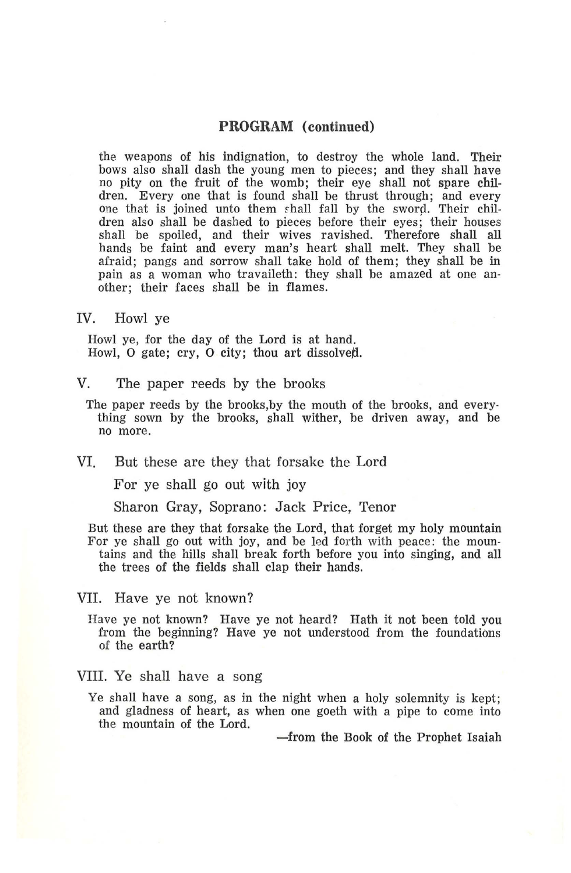#### **PROGRAM (continued)**

the weapons of his indignation, to destroy the whole land. Their<br>bows also shall dash the young men to pieces; and they shall have no pity on the fruit of the womb; their eye shall not spare chil-<br>dren. Every one that is found shall be thrust through; and every one that is joined unto them shall fall by the sword. Their chil-<br>dren also shall be dashed to pieces before their eyes; their houses shall be spoiled, and their wives ravished. Therefore shall all hands be faint and every man's heart shall melt. They shall be afraid; pangs and sorrow shall take hold of them; they shall be in pain as a woman who travaileth: they shall be amazed at one another; their faces shall be in flames.

IV. Howl ye

Howl ye, for the day of the Lord is at hand. Howl, O gate; cry, O city; thou art dissolved.

- V. The paper reeds by the brooks
	- The paper reeds by the brooks,by the mouth of the brooks, and every. thing sown by the brooks, shall wither, be driven away, and be no more.
- VI. But these are they that forsake the Lord

For ye shall go out with joy

Sharon Gray, Soprano: Jack Price, Tenor

- But these are they that forsake the Lord, that forget my holy mountain For ye shall go out with joy, and be led forth with peace : the moun· tains and the hills shall break forth before you into singing, and all the trees of the fields shall clap their hands.
- VII. Have ye not known?
	- Have ye not known? Have ye not heard? Hath it not been told you from the beginning? Have ye not understood from the foundations of the earth?
- VIII. Ye shall have a song
	- Ye shall have a song, as in the night when a holy solemnity is kept; and gladness of heart, as when one goeth with a pipe to come into the mountain of the Lord.

-from the Book of the Prophet Isaiah